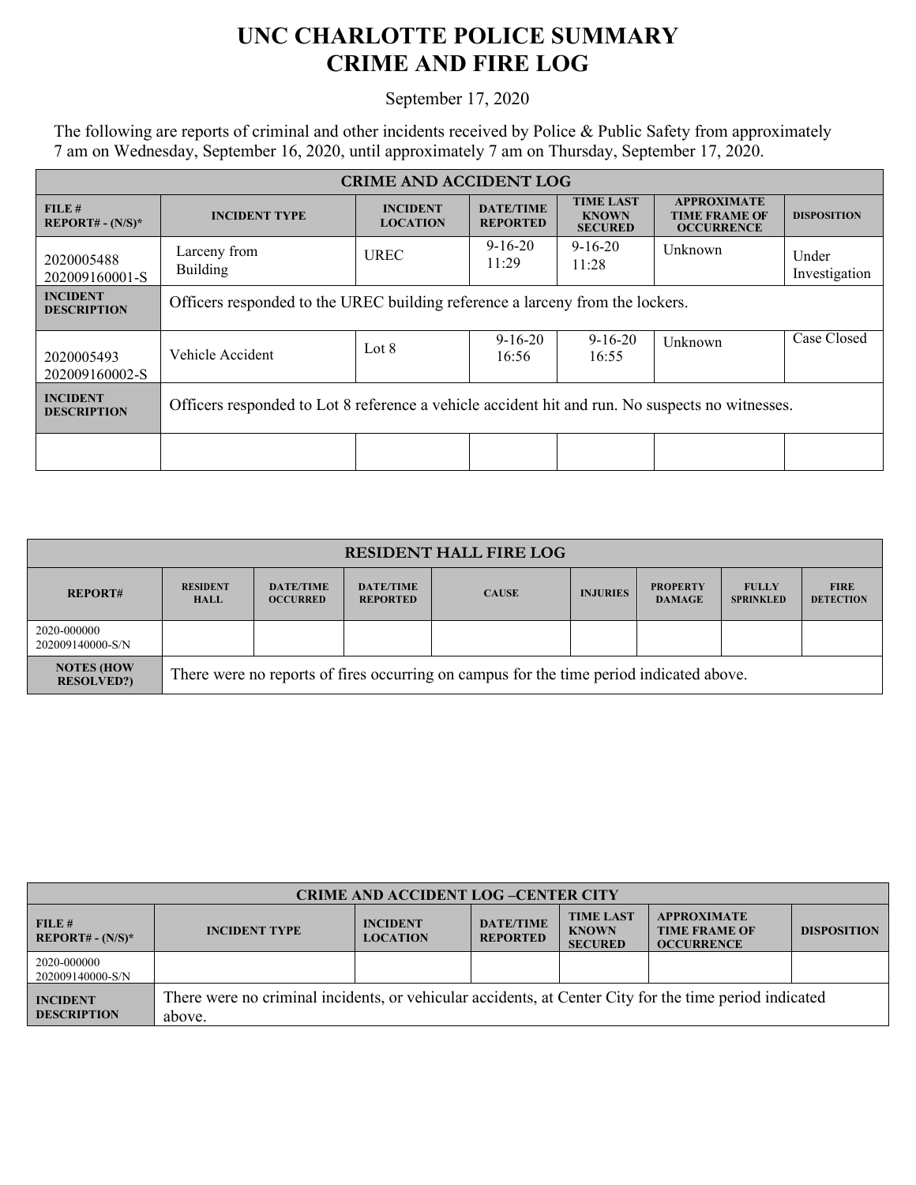## **UNC CHARLOTTE POLICE SUMMARY CRIME AND FIRE LOG**

## September 17, 2020

The following are reports of criminal and other incidents received by Police & Public Safety from approximately 7 am on Wednesday, September 16, 2020, until approximately 7 am on Thursday, September 17, 2020.

| <b>CRIME AND ACCIDENT LOG</b>         |                                                                                                 |                                    |                                     |                                                    |                                                                 |                        |  |
|---------------------------------------|-------------------------------------------------------------------------------------------------|------------------------------------|-------------------------------------|----------------------------------------------------|-----------------------------------------------------------------|------------------------|--|
| FILE#<br><b>REPORT#</b> - $(N/S)^*$   | <b>INCIDENT TYPE</b>                                                                            | <b>INCIDENT</b><br><b>LOCATION</b> | <b>DATE/TIME</b><br><b>REPORTED</b> | <b>TIME LAST</b><br><b>KNOWN</b><br><b>SECURED</b> | <b>APPROXIMATE</b><br><b>TIME FRAME OF</b><br><b>OCCURRENCE</b> | <b>DISPOSITION</b>     |  |
| 2020005488<br>202009160001-S          | Larceny from<br><b>Building</b>                                                                 | <b>UREC</b>                        | $9 - 16 - 20$<br>11:29              | $9 - 16 - 20$<br>11:28                             | Unknown                                                         | Under<br>Investigation |  |
| <b>INCIDENT</b><br><b>DESCRIPTION</b> | Officers responded to the UREC building reference a larceny from the lockers.                   |                                    |                                     |                                                    |                                                                 |                        |  |
| 2020005493<br>202009160002-S          | Vehicle Accident                                                                                | Lot 8                              | $9 - 16 - 20$<br>16:56              | $9-16-20$<br>16:55                                 | Unknown                                                         | Case Closed            |  |
| <b>INCIDENT</b><br><b>DESCRIPTION</b> | Officers responded to Lot 8 reference a vehicle accident hit and run. No suspects no witnesses. |                                    |                                     |                                                    |                                                                 |                        |  |
|                                       |                                                                                                 |                                    |                                     |                                                    |                                                                 |                        |  |

| <b>RESIDENT HALL FIRE LOG</b>           |                                                                                         |                                     |                                     |              |                 |                                  |                                  |                                 |
|-----------------------------------------|-----------------------------------------------------------------------------------------|-------------------------------------|-------------------------------------|--------------|-----------------|----------------------------------|----------------------------------|---------------------------------|
| <b>REPORT#</b>                          | <b>RESIDENT</b><br><b>HALL</b>                                                          | <b>DATE/TIME</b><br><b>OCCURRED</b> | <b>DATE/TIME</b><br><b>REPORTED</b> | <b>CAUSE</b> | <b>INJURIES</b> | <b>PROPERTY</b><br><b>DAMAGE</b> | <b>FULLY</b><br><b>SPRINKLED</b> | <b>FIRE</b><br><b>DETECTION</b> |
| 2020-000000<br>202009140000-S/N         |                                                                                         |                                     |                                     |              |                 |                                  |                                  |                                 |
| <b>NOTES (HOW)</b><br><b>RESOLVED?)</b> | There were no reports of fires occurring on campus for the time period indicated above. |                                     |                                     |              |                 |                                  |                                  |                                 |

| <b>CRIME AND ACCIDENT LOG-CENTER CITY</b> |                                                                                                                  |                                    |                                     |                                                    |                                                                 |                    |
|-------------------------------------------|------------------------------------------------------------------------------------------------------------------|------------------------------------|-------------------------------------|----------------------------------------------------|-----------------------------------------------------------------|--------------------|
| FILE #<br>$REPORT# - (N/S)^*$             | <b>INCIDENT TYPE</b>                                                                                             | <b>INCIDENT</b><br><b>LOCATION</b> | <b>DATE/TIME</b><br><b>REPORTED</b> | <b>TIME LAST</b><br><b>KNOWN</b><br><b>SECURED</b> | <b>APPROXIMATE</b><br><b>TIME FRAME OF</b><br><b>OCCURRENCE</b> | <b>DISPOSITION</b> |
| 2020-000000<br>202009140000-S/N           |                                                                                                                  |                                    |                                     |                                                    |                                                                 |                    |
| <b>INCIDENT</b><br><b>DESCRIPTION</b>     | There were no criminal incidents, or vehicular accidents, at Center City for the time period indicated<br>above. |                                    |                                     |                                                    |                                                                 |                    |